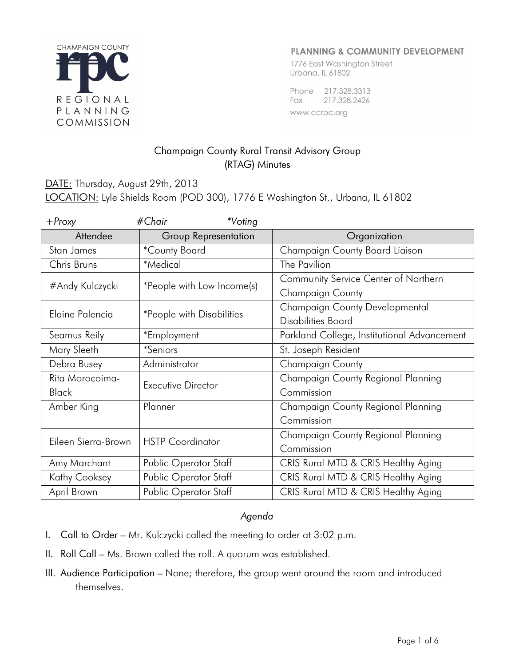

### **PLANNING & COMMUNITY DEVELOPMENT**

1776 East Washington Street Urbana, IL 61802

Phone 217.328.3313 Fax 217.328.2426 www.ccrpc.org

# Champaign County Rural Transit Advisory Group (RTAG) Minutes

# DATE: Thursday, August 29th, 2013 LOCATION: Lyle Shields Room (POD 300), 1776 E Washington St., Urbana, IL 61802

| $+$ Proxy           | #Chair<br>*Voting          |                                             |
|---------------------|----------------------------|---------------------------------------------|
| Attendee            | Group Representation       | Organization                                |
| Stan James          | *County Board              | Champaign County Board Liaison              |
| Chris Bruns         | *Medical                   | The Pavilion                                |
| #Andy Kulczycki     | *People with Low Income(s) | Community Service Center of Northern        |
|                     |                            | Champaign County                            |
| Elaine Palencia     | *People with Disabilities  | Champaign County Developmental              |
|                     |                            | Disabilities Board                          |
| Seamus Reily        | *Employment                | Parkland College, Institutional Advancement |
| Mary Sleeth         | <i>*Seniors</i>            | St. Joseph Resident                         |
| Debra Busey         | Administrator              | Champaign County                            |
| Rita Morocoima-     | Executive Director         | Champaign County Regional Planning          |
| <b>Black</b>        |                            | Commission                                  |
| Amber King          | Planner                    | Champaign County Regional Planning          |
|                     |                            | Commission                                  |
| Eileen Sierra-Brown | <b>HSTP</b> Coordinator    | Champaign County Regional Planning          |
|                     |                            | Commission                                  |
| Amy Marchant        | Public Operator Staff      | CRIS Rural MTD & CRIS Healthy Aging         |
| Kathy Cooksey       | Public Operator Staff      | CRIS Rural MTD & CRIS Healthy Aging         |
| April Brown         | Public Operator Staff      | CRIS Rural MTD & CRIS Healthy Aging         |

#### Agenda

- I. Call to Order Mr. Kulczycki called the meeting to order at 3:02 p.m.
- II. Roll Call Ms. Brown called the roll. A quorum was established.
- III. Audience Participation None; therefore, the group went around the room and introduced themselves.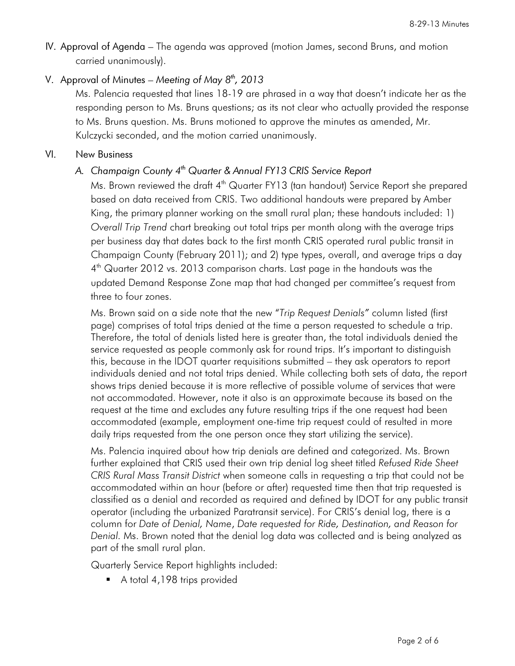IV. Approval of Agenda – The agenda was approved (motion James, second Bruns, and motion carried unanimously).

## V. Approval of Minutes – Meeting of May  $8<sup>th</sup>$ , 2013

Ms. Palencia requested that lines 18-19 are phrased in a way that doesn't indicate her as the responding person to Ms. Bruns questions; as its not clear who actually provided the response to Ms. Bruns question. Ms. Bruns motioned to approve the minutes as amended, Mr. Kulczycki seconded, and the motion carried unanimously.

#### VI. New Business

## A. Champaign County 4<sup>th</sup> Quarter & Annual FY13 CRIS Service Report

Ms. Brown reviewed the draft 4<sup>th</sup> Quarter FY13 (tan handout) Service Report she prepared based on data received from CRIS. Two additional handouts were prepared by Amber King, the primary planner working on the small rural plan; these handouts included: 1) Overall Trip Trend chart breaking out total trips per month along with the average trips per business day that dates back to the first month CRIS operated rural public transit in Champaign County (February 2011); and 2) type types, overall, and average trips a day 4 th Quarter 2012 vs. 2013 comparison charts. Last page in the handouts was the updated Demand Response Zone map that had changed per committee's request from three to four zones.

Ms. Brown said on a side note that the new "Trip Request Denials" column listed (first page) comprises of total trips denied at the time a person requested to schedule a trip. Therefore, the total of denials listed here is greater than, the total individuals denied the service requested as people commonly ask for round trips. It's important to distinguish this, because in the IDOT quarter requisitions submitted – they ask operators to report individuals denied and not total trips denied. While collecting both sets of data, the report shows trips denied because it is more reflective of possible volume of services that were not accommodated. However, note it also is an approximate because its based on the request at the time and excludes any future resulting trips if the one request had been accommodated (example, employment one-time trip request could of resulted in more daily trips requested from the one person once they start utilizing the service).

Ms. Palencia inquired about how trip denials are defined and categorized. Ms. Brown further explained that CRIS used their own trip denial log sheet titled Refused Ride Sheet CRIS Rural Mass Transit District when someone calls in requesting a trip that could not be accommodated within an hour (before or after) requested time then that trip requested is classified as a denial and recorded as required and defined by IDOT for any public transit operator (including the urbanized Paratransit service). For CRIS's denial log, there is a column for Date of Denial, Name, Date requested for Ride, Destination, and Reason for Denial. Ms. Brown noted that the denial log data was collected and is being analyzed as part of the small rural plan.

Quarterly Service Report highlights included:

A total 4,198 trips provided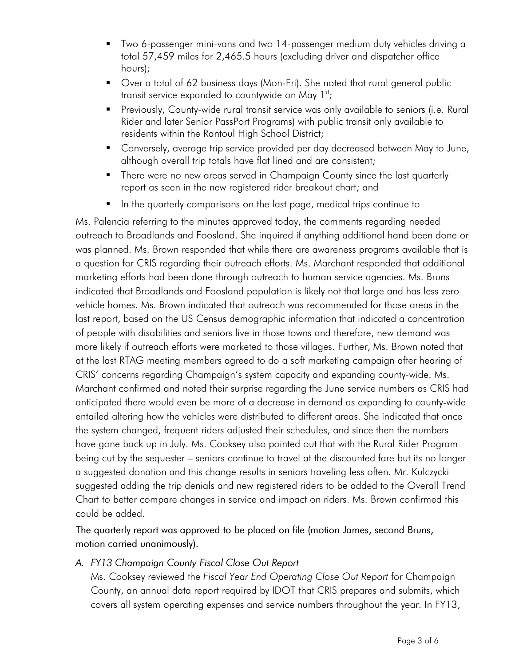- Two 6-passenger mini-vans and two 14-passenger medium duty vehicles driving a total 57,459 miles for 2,465.5 hours (excluding driver and dispatcher office hours);
- Over a total of 62 business days (Mon-Fri). She noted that rural general public transit service expanded to countywide on May  $1^{st}$ ;
- **Previously, County-wide rural transit service was only available to seniors (i.e. Rural** Rider and later Senior PassPort Programs) with public transit only available to residents within the Rantoul High School District;
- **Conversely, average trip service provided per day decreased between May to June,** although overall trip totals have flat lined and are consistent;
- **There were no new areas served in Champaign County since the last quarterly** report as seen in the new registered rider breakout chart; and
- In the quarterly comparisons on the last page, medical trips continue to

Ms. Palencia referring to the minutes approved today, the comments regarding needed outreach to Broadlands and Foosland. She inquired if anything additional hand been done or was planned. Ms. Brown responded that while there are awareness programs available that is a question for CRIS regarding their outreach efforts. Ms. Marchant responded that additional marketing efforts had been done through outreach to human service agencies. Ms. Bruns indicated that Broadlands and Foosland population is likely not that large and has less zero vehicle homes. Ms. Brown indicated that outreach was recommended for those areas in the last report, based on the US Census demographic information that indicated a concentration of people with disabilities and seniors live in those towns and therefore, new demand was more likely if outreach efforts were marketed to those villages. Further, Ms. Brown noted that at the last RTAG meeting members agreed to do a soft marketing campaign after hearing of CRIS' concerns regarding Champaign's system capacity and expanding county-wide. Ms. Marchant confirmed and noted their surprise regarding the June service numbers as CRIS had anticipated there would even be more of a decrease in demand as expanding to county-wide entailed altering how the vehicles were distributed to different areas. She indicated that once the system changed, frequent riders adjusted their schedules, and since then the numbers have gone back up in July. Ms. Cooksey also pointed out that with the Rural Rider Program being cut by the sequester – seniors continue to travel at the discounted fare but its no longer a suggested donation and this change results in seniors traveling less often. Mr. Kulczycki suggested adding the trip denials and new registered riders to be added to the Overall Trend Chart to better compare changes in service and impact on riders. Ms. Brown confirmed this could be added.

The quarterly report was approved to be placed on file (motion James, second Bruns, motion carried unanimously).

A. FY13 Champaign County Fiscal Close Out Report

Ms. Cooksey reviewed the Fiscal Year End Operating Close Out Report for Champaign County, an annual data report required by IDOT that CRIS prepares and submits, which covers all system operating expenses and service numbers throughout the year. In FY13,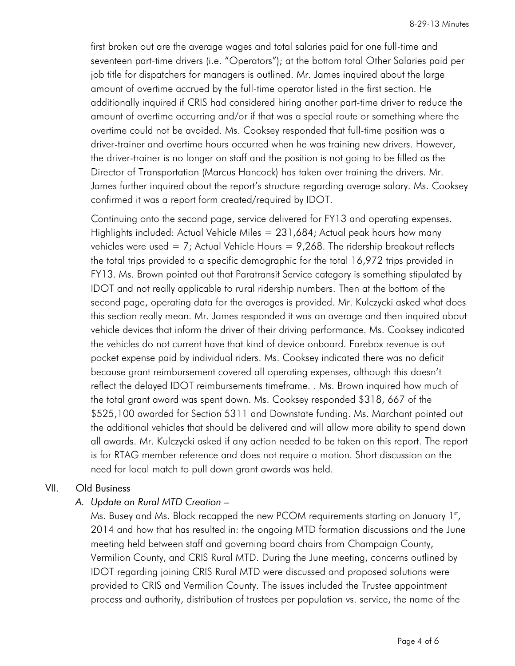first broken out are the average wages and total salaries paid for one full-time and seventeen part-time drivers (i.e. "Operators"); at the bottom total Other Salaries paid per job title for dispatchers for managers is outlined. Mr. James inquired about the large amount of overtime accrued by the full-time operator listed in the first section. He additionally inquired if CRIS had considered hiring another part-time driver to reduce the amount of overtime occurring and/or if that was a special route or something where the overtime could not be avoided. Ms. Cooksey responded that full-time position was a driver-trainer and overtime hours occurred when he was training new drivers. However, the driver-trainer is no longer on staff and the position is not going to be filled as the Director of Transportation (Marcus Hancock) has taken over training the drivers. Mr. James further inquired about the report's structure regarding average salary. Ms. Cooksey confirmed it was a report form created/required by IDOT.

Continuing onto the second page, service delivered for FY13 and operating expenses. Highlights included: Actual Vehicle Miles = 231,684; Actual peak hours how many vehicles were used = 7; Actual Vehicle Hours =  $9,268$ . The ridership breakout reflects the total trips provided to a specific demographic for the total 16,972 trips provided in FY13. Ms. Brown pointed out that Paratransit Service category is something stipulated by IDOT and not really applicable to rural ridership numbers. Then at the bottom of the second page, operating data for the averages is provided. Mr. Kulczycki asked what does this section really mean. Mr. James responded it was an average and then inquired about vehicle devices that inform the driver of their driving performance. Ms. Cooksey indicated the vehicles do not current have that kind of device onboard. Farebox revenue is out pocket expense paid by individual riders. Ms. Cooksey indicated there was no deficit because grant reimbursement covered all operating expenses, although this doesn't reflect the delayed IDOT reimbursements timeframe. . Ms. Brown inquired how much of the total grant award was spent down. Ms. Cooksey responded \$318, 667 of the \$525,100 awarded for Section 5311 and Downstate funding. Ms. Marchant pointed out the additional vehicles that should be delivered and will allow more ability to spend down all awards. Mr. Kulczycki asked if any action needed to be taken on this report. The report is for RTAG member reference and does not require a motion. Short discussion on the need for local match to pull down grant awards was held.

#### VII. Old Business

## A. Update on Rural MTD Creation –

Ms. Busey and Ms. Black recapped the new PCOM requirements starting on January 1st, 2014 and how that has resulted in: the ongoing MTD formation discussions and the June meeting held between staff and governing board chairs from Champaign County, Vermilion County, and CRIS Rural MTD. During the June meeting, concerns outlined by IDOT regarding joining CRIS Rural MTD were discussed and proposed solutions were provided to CRIS and Vermilion County. The issues included the Trustee appointment process and authority, distribution of trustees per population vs. service, the name of the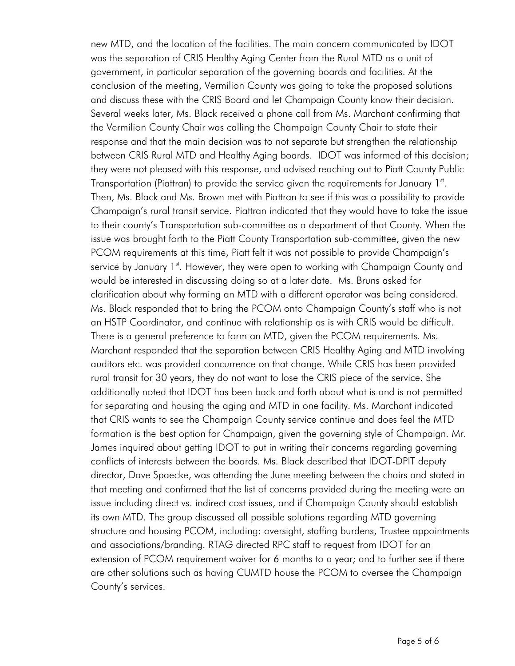new MTD, and the location of the facilities. The main concern communicated by IDOT was the separation of CRIS Healthy Aging Center from the Rural MTD as a unit of government, in particular separation of the governing boards and facilities. At the conclusion of the meeting, Vermilion County was going to take the proposed solutions and discuss these with the CRIS Board and let Champaign County know their decision. Several weeks later, Ms. Black received a phone call from Ms. Marchant confirming that the Vermilion County Chair was calling the Champaign County Chair to state their response and that the main decision was to not separate but strengthen the relationship between CRIS Rural MTD and Healthy Aging boards. IDOT was informed of this decision; they were not pleased with this response, and advised reaching out to Piatt County Public Transportation (Piattran) to provide the service given the requirements for January  $1<sup>st</sup>$ . Then, Ms. Black and Ms. Brown met with Piattran to see if this was a possibility to provide Champaign's rural transit service. Piattran indicated that they would have to take the issue to their county's Transportation sub-committee as a department of that County. When the issue was brought forth to the Piatt County Transportation sub-committee, given the new PCOM requirements at this time, Piatt felt it was not possible to provide Champaign's service by January 1st. However, they were open to working with Champaign County and would be interested in discussing doing so at a later date. Ms. Bruns asked for clarification about why forming an MTD with a different operator was being considered. Ms. Black responded that to bring the PCOM onto Champaign County's staff who is not an HSTP Coordinator, and continue with relationship as is with CRIS would be difficult. There is a general preference to form an MTD, given the PCOM requirements. Ms. Marchant responded that the separation between CRIS Healthy Aging and MTD involving auditors etc. was provided concurrence on that change. While CRIS has been provided rural transit for 30 years, they do not want to lose the CRIS piece of the service. She additionally noted that IDOT has been back and forth about what is and is not permitted for separating and housing the aging and MTD in one facility. Ms. Marchant indicated that CRIS wants to see the Champaign County service continue and does feel the MTD formation is the best option for Champaign, given the governing style of Champaign. Mr. James inquired about getting IDOT to put in writing their concerns regarding governing conflicts of interests between the boards. Ms. Black described that IDOT-DPIT deputy director, Dave Spaecke, was attending the June meeting between the chairs and stated in that meeting and confirmed that the list of concerns provided during the meeting were an issue including direct vs. indirect cost issues, and if Champaign County should establish its own MTD. The group discussed all possible solutions regarding MTD governing structure and housing PCOM, including: oversight, staffing burdens, Trustee appointments and associations/branding. RTAG directed RPC staff to request from IDOT for an extension of PCOM requirement waiver for 6 months to a year; and to further see if there are other solutions such as having CUMTD house the PCOM to oversee the Champaign County's services.